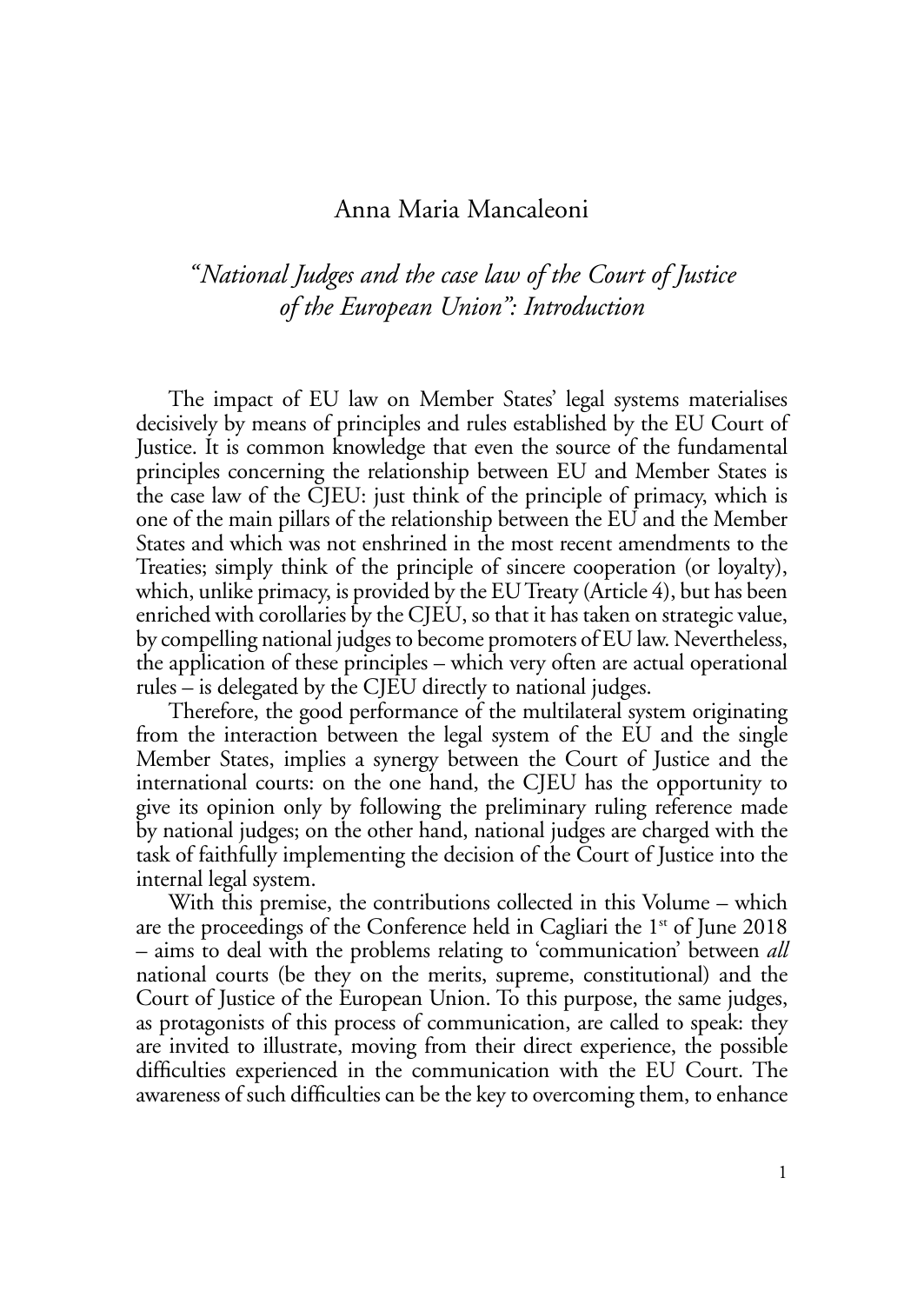## Anna Maria Mancaleoni

## *"National Judges and the case law of the Court of Justice of the European Union": Introduction*

The impact of EU law on Member States' legal systems materialises decisively by means of principles and rules established by the EU Court of Justice. It is common knowledge that even the source of the fundamental principles concerning the relationship between EU and Member States is the case law of the CJEU: just think of the principle of primacy, which is one of the main pillars of the relationship between the EU and the Member States and which was not enshrined in the most recent amendments to the Treaties; simply think of the principle of sincere cooperation (or loyalty), which, unlike primacy, is provided by the EU Treaty (Article 4), but has been enriched with corollaries by the CJEU, so that it has taken on strategic value, by compelling national judges to become promoters of EU law. Nevertheless, the application of these principles – which very often are actual operational rules – is delegated by the CJEU directly to national judges.

Therefore, the good performance of the multilateral system originating from the interaction between the legal system of the EU and the single Member States, implies a synergy between the Court of Justice and the international courts: on the one hand, the CJEU has the opportunity to give its opinion only by following the preliminary ruling reference made by national judges; on the other hand, national judges are charged with the task of faithfully implementing the decision of the Court of Justice into the internal legal system.

With this premise, the contributions collected in this Volume – which are the proceedings of the Conference held in Cagliari the  $1<sup>st</sup>$  of June 2018 – aims to deal with the problems relating to 'communication' between *all*  national courts (be they on the merits, supreme, constitutional) and the Court of Justice of the European Union. To this purpose, the same judges, as protagonists of this process of communication, are called to speak: they are invited to illustrate, moving from their direct experience, the possible difficulties experienced in the communication with the EU Court. The awareness of such difficulties can be the key to overcoming them, to enhance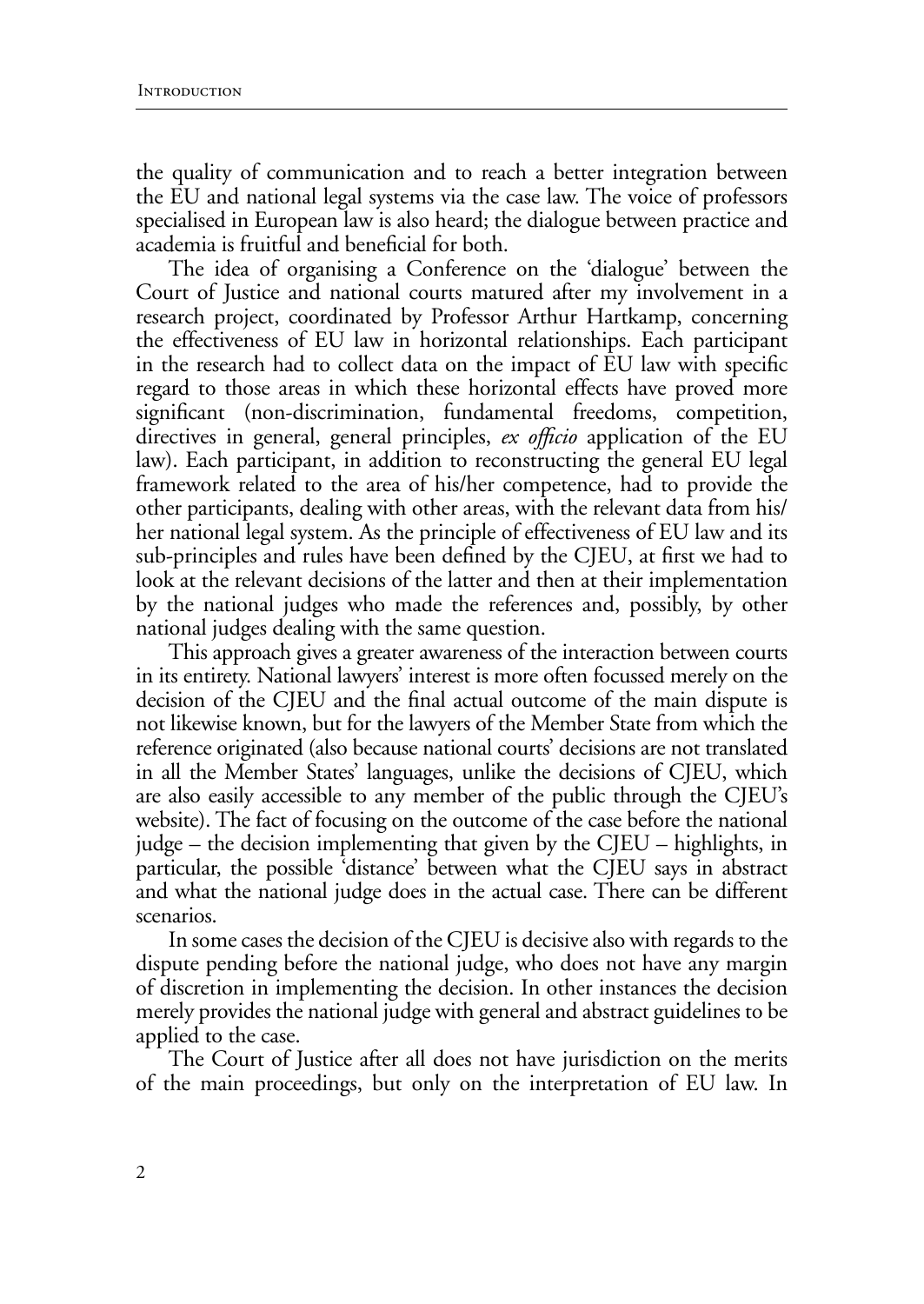the quality of communication and to reach a better integration between the EU and national legal systems via the case law. The voice of professors specialised in European law is also heard; the dialogue between practice and academia is fruitful and beneficial for both.

The idea of organising a Conference on the 'dialogue' between the Court of Justice and national courts matured after my involvement in a research project, coordinated by Professor Arthur Hartkamp, concerning the effectiveness of EU law in horizontal relationships. Each participant in the research had to collect data on the impact of EU law with specific regard to those areas in which these horizontal effects have proved more significant (non-discrimination, fundamental freedoms, competition, directives in general, general principles, *ex officio* application of the EU law). Each participant, in addition to reconstructing the general EU legal framework related to the area of his/her competence, had to provide the other participants, dealing with other areas, with the relevant data from his/ her national legal system. As the principle of effectiveness of EU law and its sub-principles and rules have been defined by the CJEU, at first we had to look at the relevant decisions of the latter and then at their implementation by the national judges who made the references and, possibly, by other national judges dealing with the same question.

This approach gives a greater awareness of the interaction between courts in its entirety. National lawyers' interest is more often focussed merely on the decision of the CJEU and the final actual outcome of the main dispute is not likewise known, but for the lawyers of the Member State from which the reference originated (also because national courts' decisions are not translated in all the Member States' languages, unlike the decisions of CJEU, which are also easily accessible to any member of the public through the CJEU's website). The fact of focusing on the outcome of the case before the national judge – the decision implementing that given by the CJEU – highlights, in particular, the possible 'distance' between what the CJEU says in abstract and what the national judge does in the actual case. There can be different scenarios.

In some cases the decision of the CJEU is decisive also with regards to the dispute pending before the national judge, who does not have any margin of discretion in implementing the decision. In other instances the decision merely provides the national judge with general and abstract guidelines to be applied to the case.

The Court of Justice after all does not have jurisdiction on the merits of the main proceedings, but only on the interpretation of EU law. In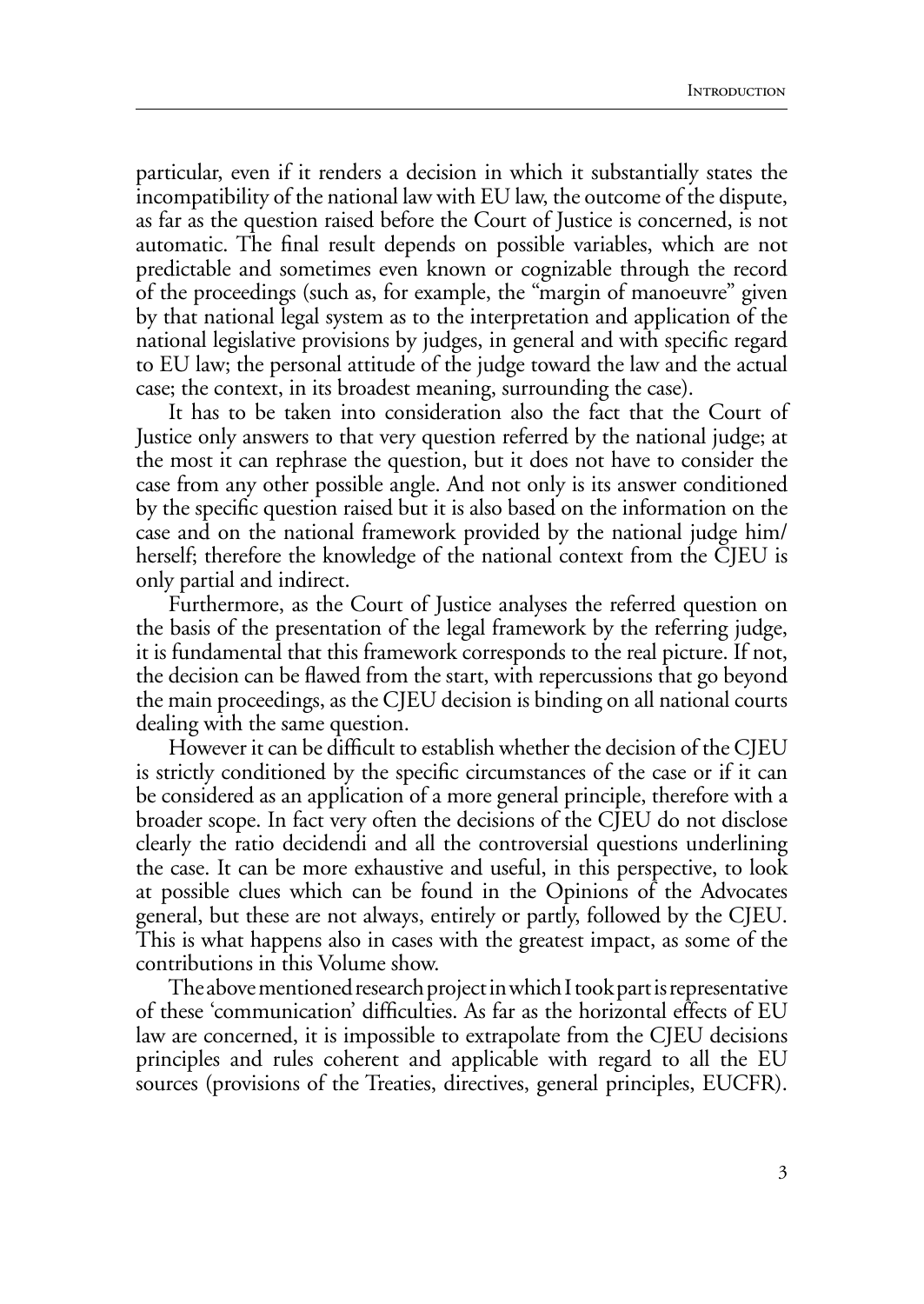particular, even if it renders a decision in which it substantially states the incompatibility of the national law with EU law, the outcome of the dispute, as far as the question raised before the Court of Justice is concerned, is not automatic. The final result depends on possible variables, which are not predictable and sometimes even known or cognizable through the record of the proceedings (such as, for example, the "margin of manoeuvre" given by that national legal system as to the interpretation and application of the national legislative provisions by judges, in general and with specific regard to EU law; the personal attitude of the judge toward the law and the actual case; the context, in its broadest meaning, surrounding the case).

It has to be taken into consideration also the fact that the Court of Justice only answers to that very question referred by the national judge; at the most it can rephrase the question, but it does not have to consider the case from any other possible angle. And not only is its answer conditioned by the specific question raised but it is also based on the information on the case and on the national framework provided by the national judge him/ herself; therefore the knowledge of the national context from the CJEU is only partial and indirect.

Furthermore, as the Court of Justice analyses the referred question on the basis of the presentation of the legal framework by the referring judge, it is fundamental that this framework corresponds to the real picture. If not, the decision can be flawed from the start, with repercussions that go beyond the main proceedings, as the CJEU decision is binding on all national courts dealing with the same question.

However it can be difficult to establish whether the decision of the CJEU is strictly conditioned by the specific circumstances of the case or if it can be considered as an application of a more general principle, therefore with a broader scope. In fact very often the decisions of the CJEU do not disclose clearly the ratio decidendi and all the controversial questions underlining the case. It can be more exhaustive and useful, in this perspective, to look at possible clues which can be found in the Opinions of the Advocates general, but these are not always, entirely or partly, followed by the CJEU. This is what happens also in cases with the greatest impact, as some of the contributions in this Volume show.

The above mentioned research project in which I took part is representative of these 'communication' difficulties. As far as the horizontal effects of EU law are concerned, it is impossible to extrapolate from the CJEU decisions principles and rules coherent and applicable with regard to all the EU sources (provisions of the Treaties, directives, general principles, EUCFR).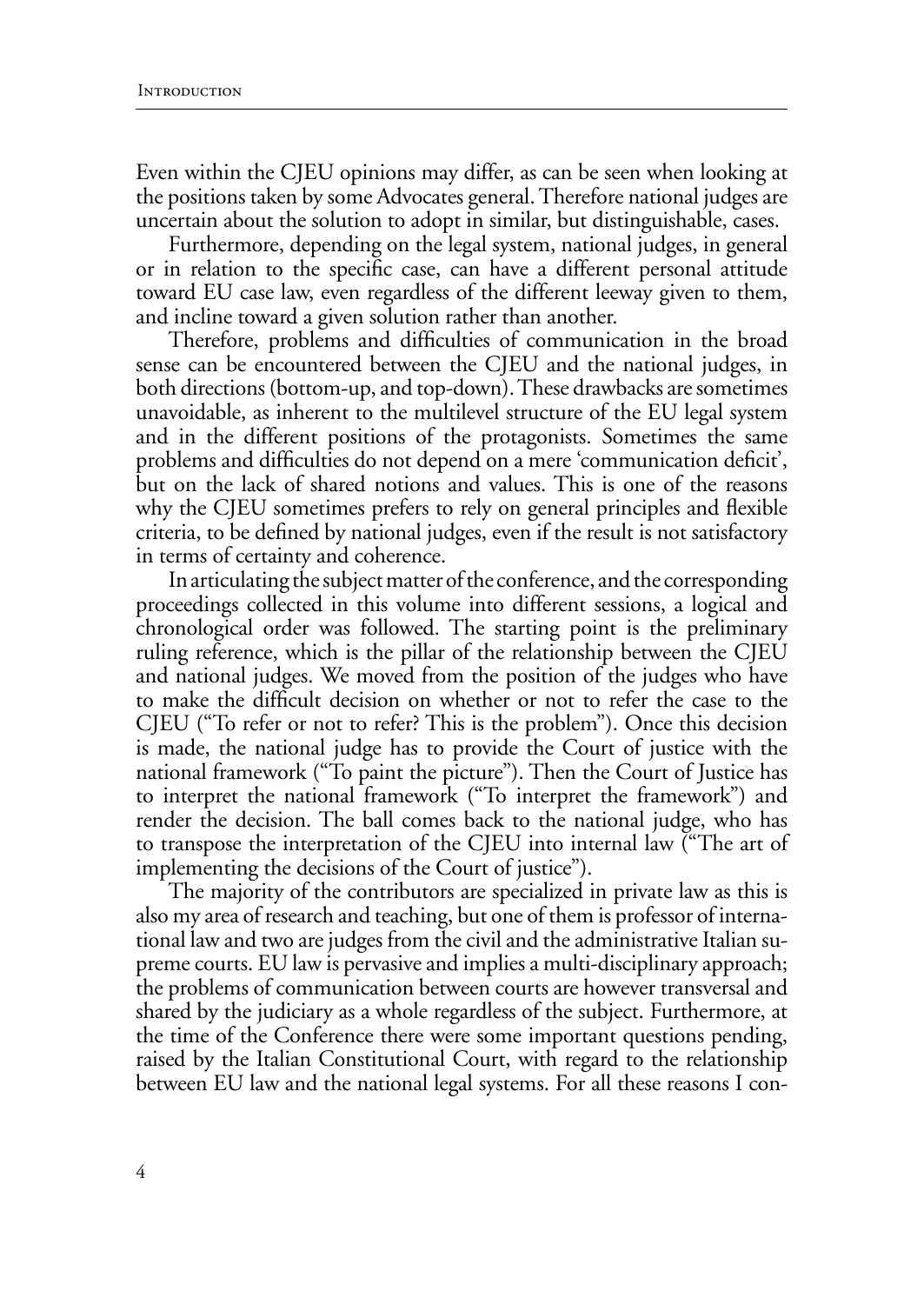Even within the CJEU opinions may differ, as can be seen when looking at the positions taken by some Advocates general. Therefore national judges are uncertain about the solution to adopt in similar, but distinguishable, cases.

Furthermore, depending on the legal system, national judges, in general or in relation to the specific case, can have a different personal attitude toward EU case law, even regardless of the different leeway given to them, and incline toward a given solution rather than another.

Therefore, problems and difficulties of communication in the broad sense can be encountered between the CJEU and the national judges, in both directions (bottom-up, and top-down). These drawbacks are sometimes unavoidable, as inherent to the multilevel structure of the EU legal system and in the different positions of the protagonists. Sometimes the same problems and difficulties do not depend on a mere 'communication deficit', but on the lack of shared notions and values. This is one of the reasons why the CJEU sometimes prefers to rely on general principles and flexible criteria, to be defined by national judges, even if the result is not satisfactory in terms of certainty and coherence.

In articulating the subject matter of the conference, and the corresponding proceedings collected in this volume into different sessions, a logical and chronological order was followed. The starting point is the preliminary ruling reference, which is the pillar of the relationship between the CJEU and national judges. We moved from the position of the judges who have to make the difficult decision on whether or not to refer the case to the CJEU ("To refer or not to refer? This is the problem"). Once this decision is made, the national judge has to provide the Court of justice with the national framework ("To paint the picture"). Then the Court of Justice has to interpret the national framework ("To interpret the framework") and render the decision. The ball comes back to the national judge, who has to transpose the interpretation of the CJEU into internal law ("The art of implementing the decisions of the Court of justice").

The majority of the contributors are specialized in private law as this is also my area of research and teaching, but one of them is professor of international law and two are judges from the civil and the administrative Italian supreme courts. EU law is pervasive and implies a multi-disciplinary approach; the problems of communication between courts are however transversal and shared by the judiciary as a whole regardless of the subject. Furthermore, at the time of the Conference there were some important questions pending, raised by the Italian Constitutional Court, with regard to the relationship between EU law and the national legal systems. For all these reasons I con